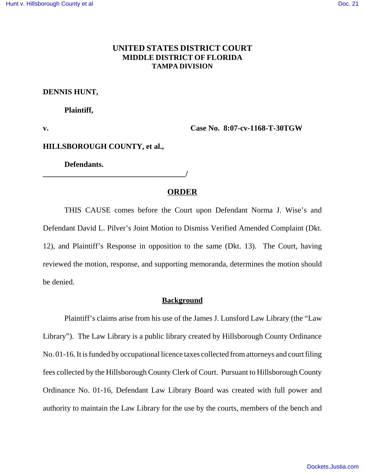## **UNITED STATES DISTRICT COURT MIDDLE DISTRICT OF FLORIDA TAMPA DIVISION**

#### **DENNIS HUNT,**

#### **Plaintiff,**

**v. Case No. 8:07-cv-1168-T-30TGW** 

### **HILLSBOROUGH COUNTY, et al.,**

**Defendants.**

**\_\_\_\_\_\_\_\_\_\_\_\_\_\_\_\_\_\_\_\_\_\_\_\_\_\_\_\_\_\_\_\_\_\_\_\_\_/** 

#### **ORDER**

THIS CAUSE comes before the Court upon Defendant Norma J. Wise's and Defendant David L. Pilver's Joint Motion to Dismiss Verified Amended Complaint (Dkt. 12), and Plaintiff's Response in opposition to the same (Dkt. 13). The Court, having reviewed the motion, response, and supporting memoranda, determines the motion should be denied.

#### **Background**

Plaintiff's claims arise from his use of the James J. Lunsford Law Library (the "Law Library"). The Law Library is a public library created by Hillsborough County Ordinance No. 01-16. It is funded by occupational licence taxes collected from attorneys and court filing fees collected by the Hillsborough County Clerk of Court. Pursuant to Hillsborough County Ordinance No. 01-16, Defendant Law Library Board was created with full power and authority to maintain the Law Library for the use by the courts, members of the bench and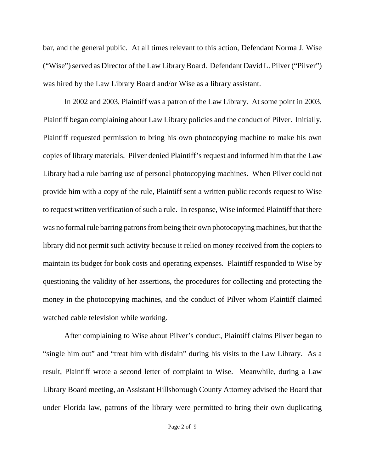bar, and the general public. At all times relevant to this action, Defendant Norma J. Wise ("Wise") served as Director of the Law Library Board. Defendant David L. Pilver ("Pilver") was hired by the Law Library Board and/or Wise as a library assistant.

In 2002 and 2003, Plaintiff was a patron of the Law Library. At some point in 2003, Plaintiff began complaining about Law Library policies and the conduct of Pilver. Initially, Plaintiff requested permission to bring his own photocopying machine to make his own copies of library materials. Pilver denied Plaintiff's request and informed him that the Law Library had a rule barring use of personal photocopying machines. When Pilver could not provide him with a copy of the rule, Plaintiff sent a written public records request to Wise to request written verification of such a rule. In response, Wise informed Plaintiff that there was no formal rule barring patrons from being their own photocopying machines, but that the library did not permit such activity because it relied on money received from the copiers to maintain its budget for book costs and operating expenses. Plaintiff responded to Wise by questioning the validity of her assertions, the procedures for collecting and protecting the money in the photocopying machines, and the conduct of Pilver whom Plaintiff claimed watched cable television while working.

After complaining to Wise about Pilver's conduct, Plaintiff claims Pilver began to "single him out" and "treat him with disdain" during his visits to the Law Library. As a result, Plaintiff wrote a second letter of complaint to Wise. Meanwhile, during a Law Library Board meeting, an Assistant Hillsborough County Attorney advised the Board that under Florida law, patrons of the library were permitted to bring their own duplicating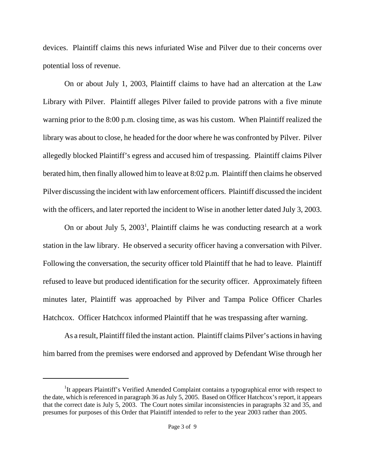devices. Plaintiff claims this news infuriated Wise and Pilver due to their concerns over potential loss of revenue.

On or about July 1, 2003, Plaintiff claims to have had an altercation at the Law Library with Pilver. Plaintiff alleges Pilver failed to provide patrons with a five minute warning prior to the 8:00 p.m. closing time, as was his custom. When Plaintiff realized the library was about to close, he headed for the door where he was confronted by Pilver. Pilver allegedly blocked Plaintiff's egress and accused him of trespassing. Plaintiff claims Pilver berated him, then finally allowed him to leave at 8:02 p.m. Plaintiff then claims he observed Pilver discussing the incident with law enforcement officers. Plaintiff discussed the incident with the officers, and later reported the incident to Wise in another letter dated July 3, 2003.

On or about July 5,  $2003<sup>1</sup>$ , Plaintiff claims he was conducting research at a work station in the law library. He observed a security officer having a conversation with Pilver. Following the conversation, the security officer told Plaintiff that he had to leave. Plaintiff refused to leave but produced identification for the security officer. Approximately fifteen minutes later, Plaintiff was approached by Pilver and Tampa Police Officer Charles Hatchcox. Officer Hatchcox informed Plaintiff that he was trespassing after warning.

As a result, Plaintiff filed the instant action. Plaintiff claims Pilver's actions in having him barred from the premises were endorsed and approved by Defendant Wise through her

<sup>&</sup>lt;sup>1</sup>It appears Plaintiff's Verified Amended Complaint contains a typographical error with respect to the date, which is referenced in paragraph 36 as July 5, 2005. Based on Officer Hatchcox's report, it appears that the correct date is July 5, 2003. The Court notes similar inconsistencies in paragraphs 32 and 35, and presumes for purposes of this Order that Plaintiff intended to refer to the year 2003 rather than 2005.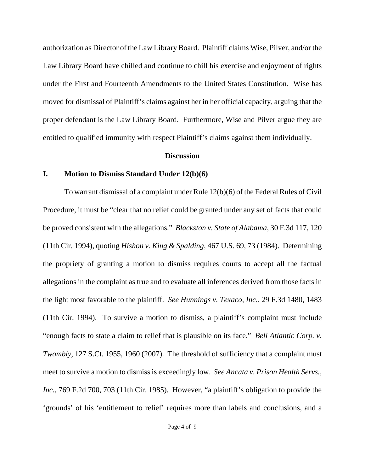authorization as Director of the Law Library Board. Plaintiff claims Wise, Pilver, and/or the Law Library Board have chilled and continue to chill his exercise and enjoyment of rights under the First and Fourteenth Amendments to the United States Constitution. Wise has moved for dismissal of Plaintiff's claims against her in her official capacity, arguing that the proper defendant is the Law Library Board. Furthermore, Wise and Pilver argue they are entitled to qualified immunity with respect Plaintiff's claims against them individually.

#### **Discussion**

### **I. Motion to Dismiss Standard Under 12(b)(6)**

To warrant dismissal of a complaint under Rule 12(b)(6) of the Federal Rules of Civil Procedure, it must be "clear that no relief could be granted under any set of facts that could be proved consistent with the allegations." *Blackston v. State of Alabama*, 30 F.3d 117, 120 (11th Cir. 1994), quoting *Hishon v. King & Spalding*, 467 U.S. 69, 73 (1984). Determining the propriety of granting a motion to dismiss requires courts to accept all the factual allegations in the complaint as true and to evaluate all inferences derived from those facts in the light most favorable to the plaintiff. *See Hunnings v. Texaco, Inc.*, 29 F.3d 1480, 1483 (11th Cir. 1994). To survive a motion to dismiss, a plaintiff's complaint must include "enough facts to state a claim to relief that is plausible on its face." *Bell Atlantic Corp. v. Twombly*, 127 S.Ct. 1955, 1960 (2007). The threshold of sufficiency that a complaint must meet to survive a motion to dismiss is exceedingly low. *See Ancata v. Prison Health Servs., Inc.*, 769 F.2d 700, 703 (11th Cir. 1985). However, "a plaintiff's obligation to provide the 'grounds' of his 'entitlement to relief' requires more than labels and conclusions, and a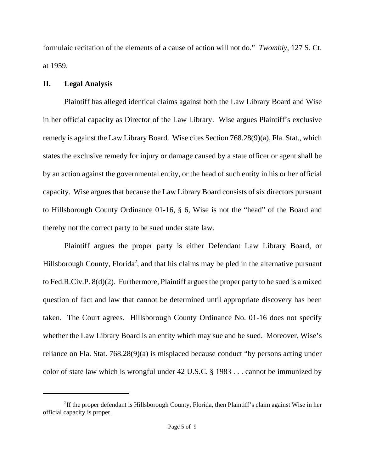formulaic recitation of the elements of a cause of action will not do." *Twombly*, 127 S. Ct. at 1959.

# **II. Legal Analysis**

Plaintiff has alleged identical claims against both the Law Library Board and Wise in her official capacity as Director of the Law Library. Wise argues Plaintiff's exclusive remedy is against the Law Library Board. Wise cites Section 768.28(9)(a), Fla. Stat., which states the exclusive remedy for injury or damage caused by a state officer or agent shall be by an action against the governmental entity, or the head of such entity in his or her official capacity. Wise argues that because the Law Library Board consists of six directors pursuant to Hillsborough County Ordinance 01-16, § 6, Wise is not the "head" of the Board and thereby not the correct party to be sued under state law.

Plaintiff argues the proper party is either Defendant Law Library Board, or Hillsborough County, Florida<sup>2</sup>, and that his claims may be pled in the alternative pursuant to Fed.R.Civ.P. 8(d)(2). Furthermore, Plaintiff argues the proper party to be sued is a mixed question of fact and law that cannot be determined until appropriate discovery has been taken. The Court agrees. Hillsborough County Ordinance No. 01-16 does not specify whether the Law Library Board is an entity which may sue and be sued. Moreover, Wise's reliance on Fla. Stat. 768.28(9)(a) is misplaced because conduct "by persons acting under color of state law which is wrongful under 42 U.S.C. § 1983 . . . cannot be immunized by

<sup>&</sup>lt;sup>2</sup>If the proper defendant is Hillsborough County, Florida, then Plaintiff's claim against Wise in her official capacity is proper.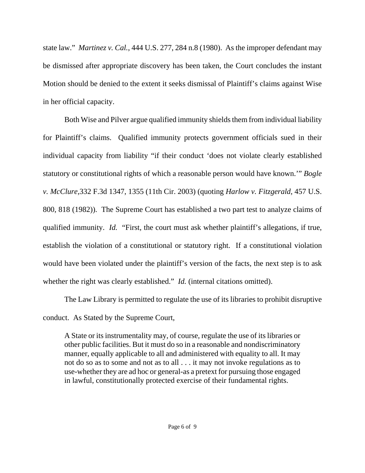state law." *Martinez v. Cal.*, 444 U.S. 277, 284 n.8 (1980). As the improper defendant may be dismissed after appropriate discovery has been taken, the Court concludes the instant Motion should be denied to the extent it seeks dismissal of Plaintiff's claims against Wise in her official capacity.

Both Wise and Pilver argue qualified immunity shields them from individual liability for Plaintiff's claims. Qualified immunity protects government officials sued in their individual capacity from liability "if their conduct 'does not violate clearly established statutory or constitutional rights of which a reasonable person would have known.'" *Bogle v. McClure*,332 F.3d 1347, 1355 (11th Cir. 2003) (quoting *Harlow v. Fitzgerald*, 457 U.S. 800, 818 (1982)). The Supreme Court has established a two part test to analyze claims of qualified immunity. *Id.* "First, the court must ask whether plaintiff's allegations, if true, establish the violation of a constitutional or statutory right. If a constitutional violation would have been violated under the plaintiff's version of the facts, the next step is to ask whether the right was clearly established." *Id.* (internal citations omitted).

The Law Library is permitted to regulate the use of its libraries to prohibit disruptive conduct. As Stated by the Supreme Court,

A State or its instrumentality may, of course, regulate the use of its libraries or other public facilities. But it must do so in a reasonable and nondiscriminatory manner, equally applicable to all and administered with equality to all. It may not do so as to some and not as to all . . . it may not invoke regulations as to use-whether they are ad hoc or general-as a pretext for pursuing those engaged in lawful, constitutionally protected exercise of their fundamental rights.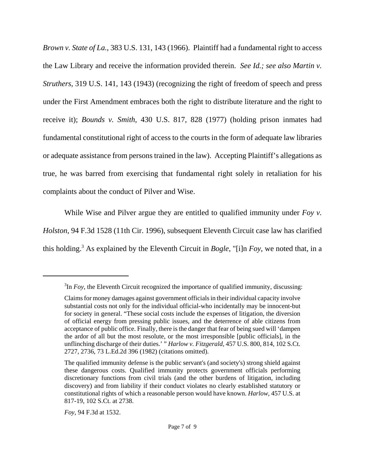*Brown v. State of La.*, 383 U.S. 131, 143 (1966). Plaintiff had a fundamental right to access the Law Library and receive the information provided therein. *See Id.; see also Martin v. Struthers*, 319 U.S. 141, 143 (1943) (recognizing the right of freedom of speech and press under the First Amendment embraces both the right to distribute literature and the right to receive it); *Bounds v. Smith*, 430 U.S. 817, 828 (1977) (holding prison inmates had fundamental constitutional right of access to the courts in the form of adequate law libraries or adequate assistance from persons trained in the law). Accepting Plaintiff's allegations as true, he was barred from exercising that fundamental right solely in retaliation for his complaints about the conduct of Pilver and Wise.

While Wise and Pilver argue they are entitled to qualified immunity under *Foy v. Holston*, 94 F.3d 1528 (11th Cir. 1996), subsequent Eleventh Circuit case law has clarified this holding.3 As explained by the Eleventh Circuit in *Bogle*, "[i]n *Foy*, we noted that, in a

*Foy*, 94 F.3d at 1532.

 ${}^{3}$ In *Foy*, the Eleventh Circuit recognized the importance of qualified immunity, discussing:

Claims for money damages against government officials in their individual capacity involve substantial costs not only for the individual official-who incidentally may be innocent-but for society in general. "These social costs include the expenses of litigation, the diversion of official energy from pressing public issues, and the deterrence of able citizens from acceptance of public office. Finally, there is the danger that fear of being sued will 'dampen the ardor of all but the most resolute, or the most irresponsible [public officials], in the unflinching discharge of their duties.' " *Harlow v. Fitzgerald,* 457 U.S. 800, 814, 102 S.Ct. 2727, 2736, 73 L.Ed.2d 396 (1982) (citations omitted).

The qualified immunity defense is the public servant's (and society's) strong shield against these dangerous costs. Qualified immunity protects government officials performing discretionary functions from civil trials (and the other burdens of litigation, including discovery) and from liability if their conduct violates no clearly established statutory or constitutional rights of which a reasonable person would have known. *Harlow,* 457 U.S. at 817-19, 102 S.Ct. at 2738.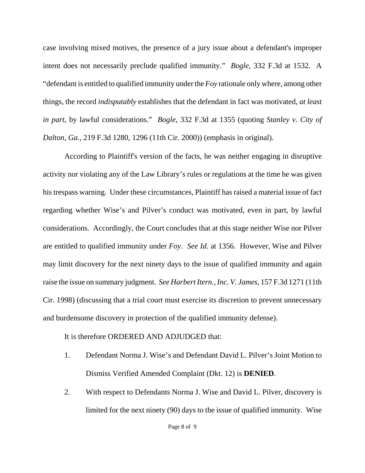case involving mixed motives, the presence of a jury issue about a defendant's improper intent does not necessarily preclude qualified immunity." *Bogle*, 332 F.3d at 1532. A "defendant is entitled to qualified immunity under the *Foy* rationale only where, among other things, the record *indisputably* establishes that the defendant in fact was motivated, *at least in part*, by lawful considerations." *Bogle*, 332 F.3d at 1355 (quoting *Stanley v. City of Dalton, Ga.*, 219 F.3d 1280, 1296 (11th Cir. 2000)) (emphasis in original).

According to Plaintiff's version of the facts, he was neither engaging in disruptive activity nor violating any of the Law Library's rules or regulations at the time he was given his trespass warning. Under these circumstances, Plaintiff has raised a material issue of fact regarding whether Wise's and Pilver's conduct was motivated, even in part, by lawful considerations. Accordingly, the Court concludes that at this stage neither Wise nor Pilver are entitled to qualified immunity under *Foy*. *See Id.* at 1356. However, Wise and Pilver may limit discovery for the next ninety days to the issue of qualified immunity and again raise the issue on summary judgment. *See Harbert Itern., Inc. V. James*, 157 F.3d 1271 (11th Cir. 1998) (discussing that a trial court must exercise its discretion to prevent unnecessary and burdensome discovery in protection of the qualified immunity defense).

It is therefore ORDERED AND ADJUDGED that:

- 1. Defendant Norma J. Wise's and Defendant David L. Pilver's Joint Motion to Dismiss Verified Amended Complaint (Dkt. 12) is **DENIED**.
- 2. With respect to Defendants Norma J. Wise and David L. Pilver, discovery is limited for the next ninety (90) days to the issue of qualified immunity. Wise